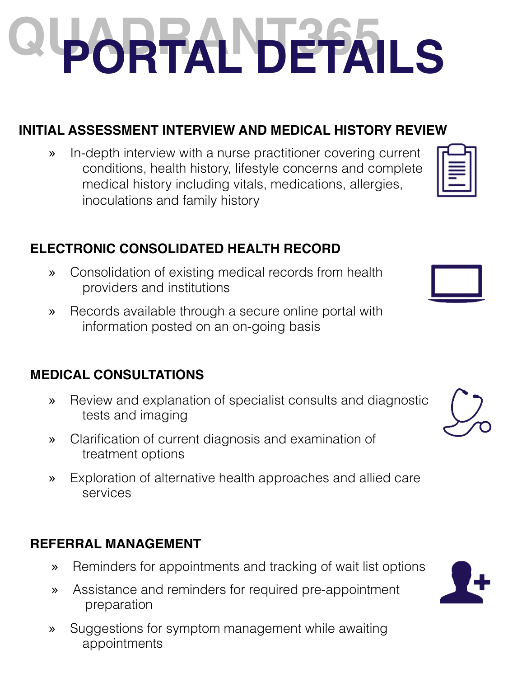# **QUADRANT365 PORTAL DETAILS**

# **INITIAL ASSESSMENT INTERVIEW AND MEDICAL HISTORY REVIEW**

» In-depth interview with a nurse practitioner covering current conditions, health history, lifestyle concerns and complete medical history including vitals, medications, allergies, inoculations and family history

## **ELECTRONIC CONSOLIDATED HEALTH RECORD**

- » Consolidation of existing medical records from health providers and institutions
- » Records available through a secure online portal with information posted on an on-going basis

#### **MEDICAL CONSULTATIONS**

- » Review and explanation of specialist consults and diagnostic tests and imaging
- » Clarification of current diagnosis and examination of treatment options
- » Exploration of alternative health approaches and allied care services

#### **REFERRAL MANAGEMENT**

- » Reminders for appointments and tracking of wait list options
- » Assistance and reminders for required pre-appointment preparation
- » Suggestions for symptom management while awaiting appointments





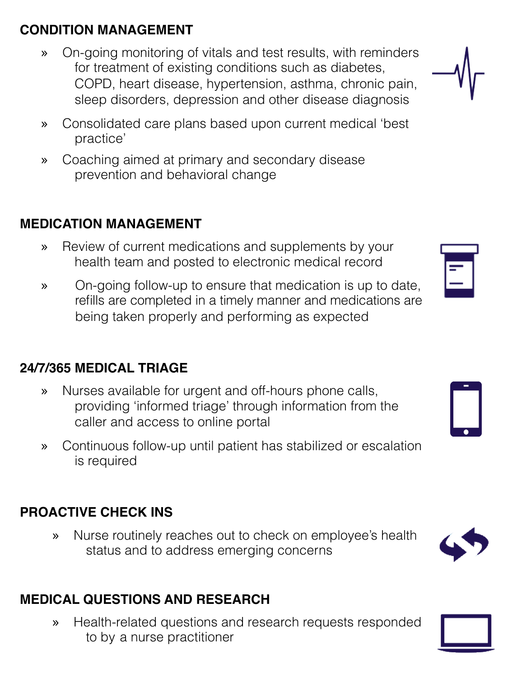## **CONDITION MANAGEMENT**

- » On-going monitoring of vitals and test results, with reminders for treatment of existing conditions such as diabetes, COPD, heart disease, hypertension, asthma, chronic pain, sleep disorders, depression and other disease diagnosis
- » Consolidated care plans based upon current medical 'best practice'
- » Coaching aimed at primary and secondary disease prevention and behavioral change

## **MEDICATION MANAGEMENT**

- » Review of current medications and supplements by your health team and posted to electronic medical record
- » On-going follow-up to ensure that medication is up to date, refills are completed in a timely manner and medications are being taken properly and performing as expected

#### **24/7/365 MEDICAL TRIAGE**

- » Nurses available for urgent and off-hours phone calls, providing 'informed triage' through information from the caller and access to online portal
- » Continuous follow-up until patient has stabilized or escalation is required

## **PROACTIVE CHECK INS**

» Nurse routinely reaches out to check on employee's health status and to address emerging concerns

## **MEDICAL QUESTIONS AND RESEARCH**

» Health-related questions and research requests responded to by a nurse practitioner